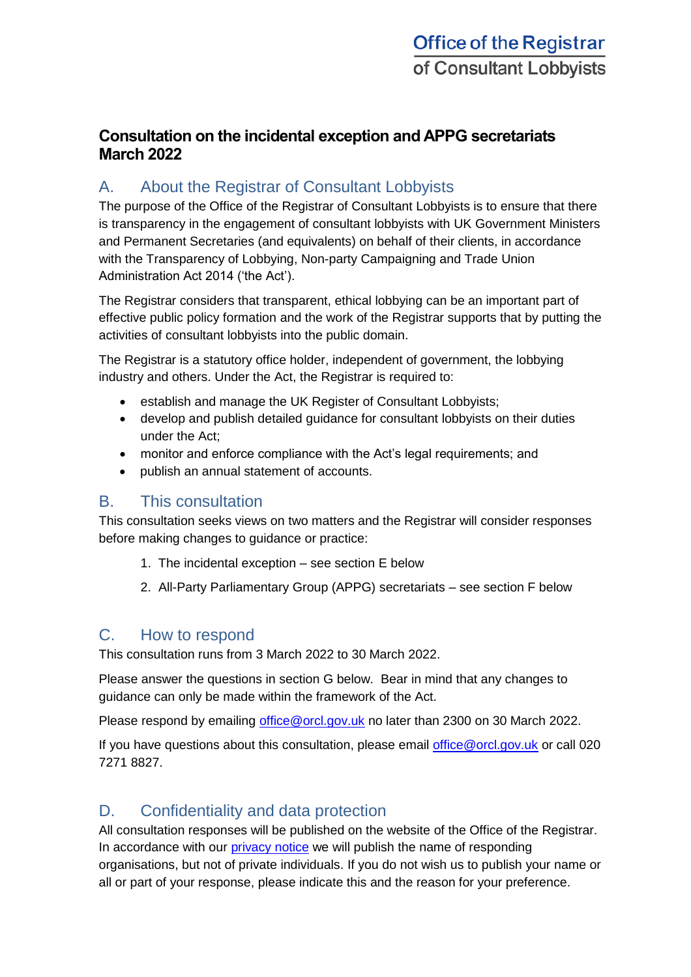## **Consultation on the incidental exception and APPG secretariats March 2022**

# A. About the Registrar of Consultant Lobbyists

The purpose of the Office of the Registrar of Consultant Lobbyists is to ensure that there is transparency in the engagement of consultant lobbyists with UK Government Ministers and Permanent Secretaries (and equivalents) on behalf of their clients, in accordance with the Transparency of Lobbying, Non-party Campaigning and Trade Union Administration Act 2014 ('the Act').

The Registrar considers that transparent, ethical lobbying can be an important part of effective public policy formation and the work of the Registrar supports that by putting the activities of consultant lobbyists into the public domain.

The Registrar is a statutory office holder, independent of government, the lobbying industry and others. Under the Act, the Registrar is required to:

- establish and manage the UK Register of Consultant Lobbyists;
- develop and publish detailed guidance for consultant lobbyists on their duties under the Act;
- monitor and enforce compliance with the Act's legal requirements; and
- publish an annual statement of accounts.

### B. This consultation

This consultation seeks views on two matters and the Registrar will consider responses before making changes to guidance or practice:

- 1. The incidental exception see section E below
- 2. All-Party Parliamentary Group (APPG) secretariats see section F below

### C. How to respond

This consultation runs from 3 March 2022 to 30 March 2022.

Please answer the questions in section G below. Bear in mind that any changes to guidance can only be made within the framework of the Act.

Please respond by emailing [office@orcl.gov.uk](mailto:office@orcl.gov.uk) no later than 2300 on 30 March 2022.

If you have questions about this consultation, please email [office@orcl.gov.uk](mailto:office@orcl.gov.uk) or call 020 7271 8827.

## D. Confidentiality and data protection

All consultation responses will be published on the website of the Office of the Registrar. In accordance with our [privacy notice](https://registrarofconsultantlobbyists.org.uk/privacy-notice-for-office-of-the-registrar-of-consultant-lobbyists-orcl-public-consultations/) we will publish the name of responding organisations, but not of private individuals. If you do not wish us to publish your name or all or part of your response, please indicate this and the reason for your preference.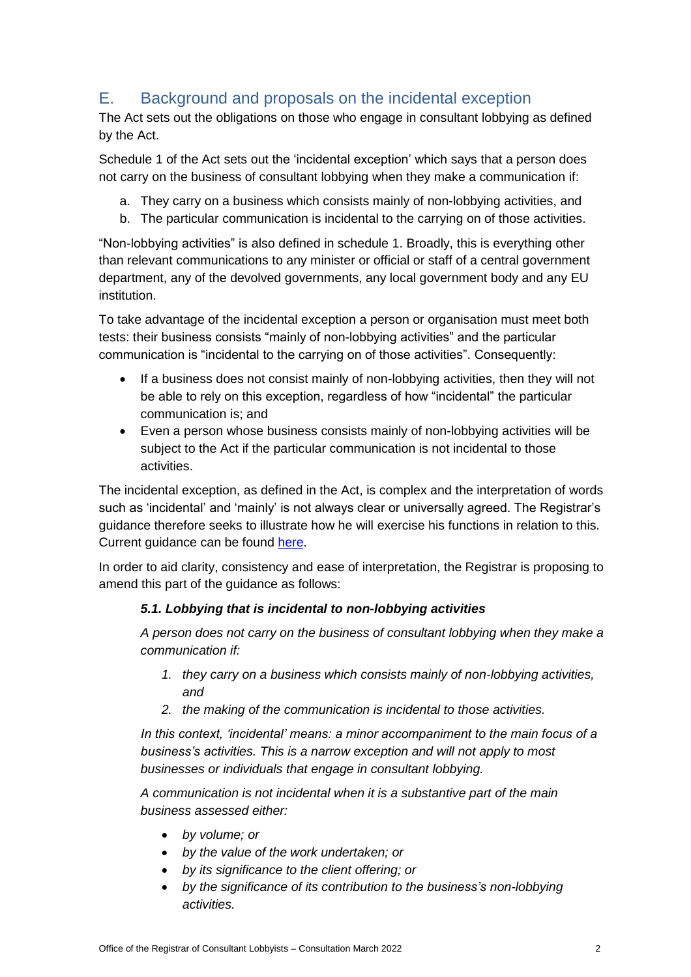## E. Background and proposals on the incidental exception

The Act sets out the obligations on those who engage in consultant lobbying as defined by the Act.

Schedule 1 of the Act sets out the 'incidental exception' which says that a person does not carry on the business of consultant lobbying when they make a communication if:

- a. They carry on a business which consists mainly of non-lobbying activities, and
- b. The particular communication is incidental to the carrying on of those activities.

"Non-lobbying activities" is also defined in schedule 1. Broadly, this is everything other than relevant communications to any minister or official or staff of a central government department, any of the devolved governments, any local government body and any EU institution.

To take advantage of the incidental exception a person or organisation must meet both tests: their business consists "mainly of non-lobbying activities" and the particular communication is "incidental to the carrying on of those activities". Consequently:

- If a business does not consist mainly of non-lobbying activities, then they will not be able to rely on this exception, regardless of how "incidental" the particular communication is; and
- Even a person whose business consists mainly of non-lobbying activities will be subject to the Act if the particular communication is not incidental to those activities.

The incidental exception, as defined in the Act, is complex and the interpretation of words such as 'incidental' and 'mainly' is not always clear or universally agreed. The Registrar's guidance therefore seeks to illustrate how he will exercise his functions in relation to this. Current guidance can be found [here.](https://registrarofconsultantlobbyists.org.uk/guidance/guidance-on-registration-and-qirs-including-specialist-guidance-for-think-tanks-and-support-service-providers-to-appgs/#Lobbying-that-is-incidental-to-non-lobbying-activities)

In order to aid clarity, consistency and ease of interpretation, the Registrar is proposing to amend this part of the guidance as follows:

#### *5.1. Lobbying that is incidental to non-lobbying activities*

*A person does not carry on the business of consultant lobbying when they make a communication if:* 

- *1. they carry on a business which consists mainly of non-lobbying activities, and*
- *2. the making of the communication is incidental to those activities.*

*In this context, 'incidental' means: a minor accompaniment to the main focus of a business's activities. This is a narrow exception and will not apply to most businesses or individuals that engage in consultant lobbying.* 

*A communication is not incidental when it is a substantive part of the main business assessed either:* 

- *by volume; or*
- *by the value of the work undertaken; or*
- *by its significance to the client offering; or*
- *by the significance of its contribution to the business's non-lobbying activities.*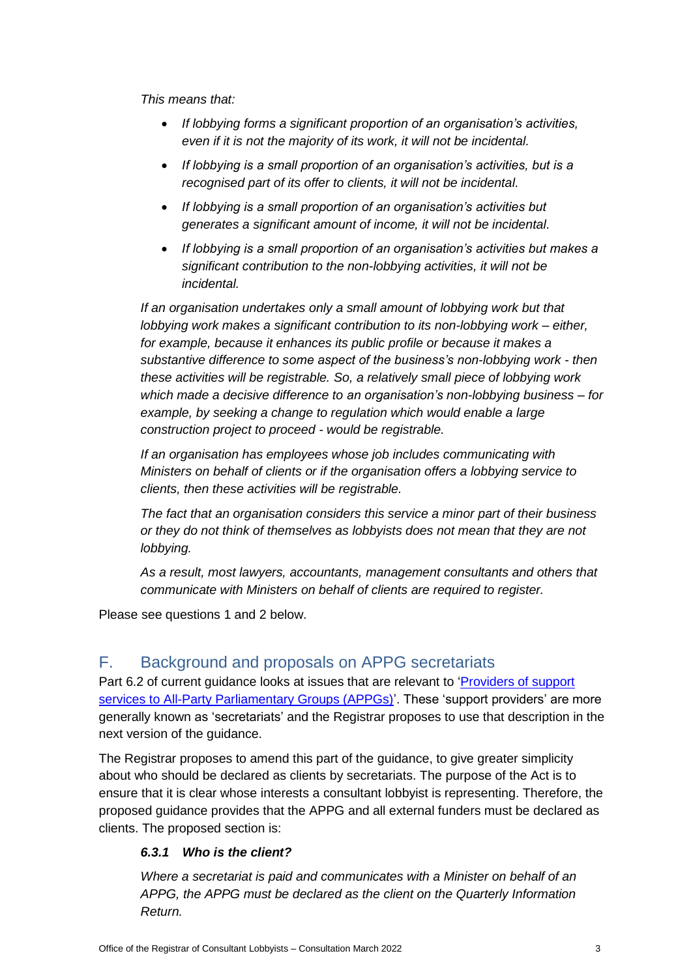*This means that:* 

- *If lobbying forms a significant proportion of an organisation's activities, even if it is not the majority of its work, it will not be incidental.*
- *If lobbying is a small proportion of an organisation's activities, but is a recognised part of its offer to clients, it will not be incidental.*
- *If lobbying is a small proportion of an organisation's activities but generates a significant amount of income, it will not be incidental.*
- *If lobbying is a small proportion of an organisation's activities but makes a significant contribution to the non-lobbying activities, it will not be incidental.*

*If an organisation undertakes only a small amount of lobbying work but that lobbying work makes a significant contribution to its non-lobbying work – either, for example, because it enhances its public profile or because it makes a substantive difference to some aspect of the business's non-lobbying work - then these activities will be registrable. So, a relatively small piece of lobbying work which made a decisive difference to an organisation's non-lobbying business – for example, by seeking a change to regulation which would enable a large construction project to proceed - would be registrable.*

*If an organisation has employees whose job includes communicating with Ministers on behalf of clients or if the organisation offers a lobbying service to clients, then these activities will be registrable.* 

*The fact that an organisation considers this service a minor part of their business or they do not think of themselves as lobbyists does not mean that they are not lobbying.* 

*As a result, most lawyers, accountants, management consultants and others that communicate with Ministers on behalf of clients are required to register.*

Please see questions 1 and 2 below.

## F. Background and proposals on APPG secretariats

Part 6.2 of current guidance looks at issues that are relevant to 'Providers of support [services to All-Party Parliamentary Groups \(APPGs\)'](https://registrarofconsultantlobbyists.org.uk/guidance/guidance-on-registration-and-qirs-including-specialist-guidance-for-think-tanks-and-support-service-providers-to-appgs/#Providers-of-support-services-to-All-Party-Parliamentary-Groups). These 'support providers' are more generally known as 'secretariats' and the Registrar proposes to use that description in the next version of the guidance.

The Registrar proposes to amend this part of the guidance, to give greater simplicity about who should be declared as clients by secretariats. The purpose of the Act is to ensure that it is clear whose interests a consultant lobbyist is representing. Therefore, the proposed guidance provides that the APPG and all external funders must be declared as clients. The proposed section is:

#### *6.3.1 Who is the client?*

*Where a secretariat is paid and communicates with a Minister on behalf of an APPG, the APPG must be declared as the client on the Quarterly Information Return.*